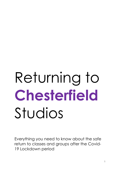# Returning to **Chesterfield** Studios

Everything you need to know about the safe return to classes and groups after the Covid-19 Lockdown period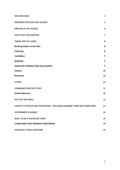| <b>WELCOME BACK</b>                                                          | 3              |
|------------------------------------------------------------------------------|----------------|
| PREPARING FOR YOUR FIRST SESSION                                             | 5              |
| <b>ARRIVING AT THE STUDIOS</b>                                               | 6              |
| <b>HEALTH SELF-DECLARATION</b>                                               | $\overline{7}$ |
| <b>TAKING PART IN CLASSES</b>                                                | 8              |
| <b>Working Safely on the Grid</b>                                            | 8              |
| <b>Cleaning</b>                                                              | 8              |
| Ventilation                                                                  | 9              |
| <b>Materials</b>                                                             | 9              |
| <b>Exiting the Building/Collecting Students</b>                              | 9              |
| <b>Uniform</b>                                                               | 10             |
| <b>Behaviour</b>                                                             | 10             |
| <b>ILLNESS</b>                                                               | 10             |
| <b>COMMUNICATING WITH STAFF</b>                                              | 11             |
| <b>Email addresses</b>                                                       | 12             |
| NHS TEST AND TRACE                                                           | 12             |
| UPDATES TO POLICIES AND PROCEDURES - INCLUDING STANDARD TERMS AND CONDITIONS | 13             |
| <b>GOVERNMENT GUIDANCE</b>                                                   | 14             |
| WHAT TO DO IF YOU'RE NOT HAPPY                                               | 14             |
| <b>COMPLAINTS AND FEEDBACK PROCEDURE</b>                                     | 14             |
| FREQUENTLY ASKED QUESTIONS                                                   | 16             |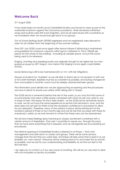## <span id="page-2-0"></span>**Welcome Back**

31st August 2020

It has nearly been six months since Chesterfield Studios was forced to close as part of the worldwide lockdown against the Coronavirus pandemic. Work remained unfinished, songs and routines were left to be forgotten, and we all were faced with uncertainty as we wondered when we would ever get back to our groups.

Out of School Settings (both OFSTED registered and non-registered) were allowed to open for all children from the beginning of the summer holidays.

From 25th July OOSS could once again offer dance indoors if distancing is maintained and guidelines for maximum capacity within gyms is adhered to. This is 100sqft per person for the whole of the building – including all useable space, not just the rooms being used to for rehearsal.

Singing, chanting and speaking loudly was originally thought to be higher risk, but new guidance issued on 20<sup>th</sup> August, now means that singing is once again a permissible activity.

Social distancing is still to be maintained (2m or 1m+ with risk mitigation).

Groups of students (or "bubbles" as we will refer to them) are to not exceed 15 with one or two staff members. Bubbles must be as consistent as possible, and during changeover from one bubble to another, rooms must be deeply cleaned between groups.

This information pack details how we are approaching re-opening and the procedures we have in place to ensure your safety whilst taking part in classes.

The OOSS sector is somewhat behind the rest of the world, so you may find that some of our procedures may seem a little severe compared with what we are now used to, say in shops or bars. The reason for this is fairly simple – as the OOSS sector tentatively returns to work, we do not have the same experience as sectors that returned in June, and the data does not yet exist for there to be the necessary confidence in procedure to allow for any relaxation. Therefore, many of the systems in place will be reminiscent of the lockdown period of three or four months ago and we do ask that you bear with these for everybody's safety as we look forward to a time that these rules can be abandoned.

We all have mixed feelings about returning to classes; excitement combined with a certain amount of trepidation. That said, I would like to assure you, through this pack, that we have done everything that is required, and we will regularly be re-evaluating our procedures.

The initial re-opening of Chesterfield Studios is referred to as Phase 1, that is the management and safe return to classes and groups. There will be some obvious changes from the last time you were here, and these will take some time to bed in as we establish our 'new normal.' Everyone will be working hard to try and make this as smooth as possible, and we ask for your understanding and flexibility as we find our feet in the first half term.

I do urge you to contact us if you are unsure of anything. We will do our very best to deal with your enquiries as quickly as possible.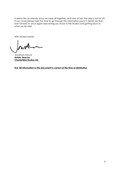It seems like an eternity since we were all together, and now at last, the day is not far off. If you could please take the time to go through this information pack in detail, we then look forward to once again welcoming you back to the Studios and getting back to what we do best.

With all best wishes,

Jonathan Francis **Artistic Director Chesterfield Studios Ltd.** 

**N.B. All information in this document is correct at the time of distribution**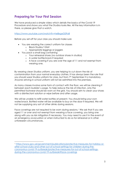# <span id="page-4-0"></span>**Preparing for Your First Session**

We have produced a simple video which details the basics of the Covid-19 Procedure and shows you what the Studios looks like. All the key information is in there, so please give that a watch.

<https://www.youtube.com/watch?v=heBxgaG0Fo8>

Before you set-off for your class you should make sure

- You are wearing the correct uniform for classes
	- o Black Studios T-Shirt
	- o Appropriate leggings or joggers
- You pack a small bag containing

1

- o Your rehearsal shoes (no outdoor shoes in studios)
- o A water bottle/snack if required
- o A face covering if you are over the age of 11 and not exempt from wearing one.

By wearing clean Studios uniform, you are helping to cut down the risk of contamination from your normal everyday clothes. It has always been the rule that you should wear Studios uniform for class, but from 7th September it is mandatory. Anyone arriving in school uniform will not be admitted into the premises.

As many classes involve some form of contact with the floor, we will be cleaning it between each bubble's usage. To help reduce the risk of infection, only the permitted footwear should be worn on the grid. You should aim to clean your shoes with a disinfectant solution or wipe before and after usage.

We will be unable to refill water bottles at present. You should bring your own water/snack. Bottled water will be available to buy on the door if required. We will not be supplying any sort of other drinks during sessions.

Face coverings are not required to be worn during sessions.<sup>[1](#page-4-1)</sup> We ask that if you are aged 11 or over and not exempt from wearing a face covering, you bring one along with you as risk mitigation if necessary. You may need to use it in the event of an emergency evacuation or when instructed to do so for rehearsal or in other unforeseen circumstances.

<span id="page-4-1"></span><sup>1</sup> [https://www.gov.uk/government/publications/protective-measures-for-holiday-or](https://www.gov.uk/government/publications/protective-measures-for-holiday-or-after-school-clubs-and-other-out-of-school-settings-for-children-during-the-coronavirus-covid-19-outbreak/protective-measures-for-out-of-school-settings-during-the-coronavirus-covid-19-outbreak#face-coverings)[after-school-clubs-and-other-out-of-school-settings-for-children-during-the](https://www.gov.uk/government/publications/protective-measures-for-holiday-or-after-school-clubs-and-other-out-of-school-settings-for-children-during-the-coronavirus-covid-19-outbreak/protective-measures-for-out-of-school-settings-during-the-coronavirus-covid-19-outbreak#face-coverings)[coronavirus-covid-19-outbreak/protective-measures-for-out-of-school-settings](https://www.gov.uk/government/publications/protective-measures-for-holiday-or-after-school-clubs-and-other-out-of-school-settings-for-children-during-the-coronavirus-covid-19-outbreak/protective-measures-for-out-of-school-settings-during-the-coronavirus-covid-19-outbreak#face-coverings)[during-the-coronavirus-covid-19-outbreak#face-coverings](https://www.gov.uk/government/publications/protective-measures-for-holiday-or-after-school-clubs-and-other-out-of-school-settings-for-children-during-the-coronavirus-covid-19-outbreak/protective-measures-for-out-of-school-settings-during-the-coronavirus-covid-19-outbreak#face-coverings)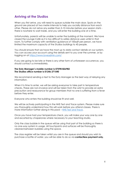## <span id="page-5-0"></span>**Arriving at the Studios**

When you first arrive, you will need to queue outside the main door. Spots on the ground are placed at two metre intervals to help you socially distance from each other. Please do not arrive any earlier than 5-10 minutes before your session starts there is nowhere to wait inside, and you will enter the building one at a time.

Unfortunately, parents will be unable to enter the building at the moment. We have closed the Lounge Café as it is too difficult to safely distance users whilst in that room. To further comply with ventilation guidance of 100sqft per person, we have limited the maximum capacity of the Studios buildings to 45 people.

You should ensure that we have the most up to date contact details on our system. You can access your account using the details sent to you over the summer, or by logging on at<https://www.loveadmin.com/>

If you are going to be late or there is any other form of unforeseen occurrence, you should contact us immediately.

#### **The Duty Manager's mobile number is 07598 826982 The Studios office number is 01246 271540**

We recommend sending a text to the Duty Manager as the best way of relaying any information.

When it is time to enter, we will be asking everyone to take part in temperature checks. These are non-invasive and will be taken from the wrist to provide an extra precaution and reassurance for group members that no one is suffering from a fever before they enter.

Everyone who enters the building should be fit and well.

We will be actively participating in the NHS Test and Trace system. Please make sure you thoroughly understand how this will work before you attend classes. There is more information further along in this pack – [NHS Test and Trace.](#page-11-1)

Once you have had your temperature check, you will make your way one by one and escorted by chaperones where necessary to your teaching studio.

Only the class bubble in the queue will be using that part of the building so there is no one-way system in usage. All touchpoints and surfaces will be thoroughly cleaned between bubbles using the space.

The class register will be taken whilst you are in the queue and should you wish to purchase a bottle of water, you will be able to do so via **contactless payment only.**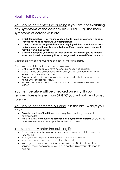# <span id="page-6-0"></span>**Health Self-Declaration**

You should only enter the building if you are **not exhibiting any symptoms** of the coronavirus (COVID-19). The main symptoms of coronavirus are:

- **a high temperature this means you feel hot to touch on your chest or back (you do not need to measure your temperature)**
- **a new, continuous cough this means coughing a lot for more than an hour, or 3 or more coughing episodes in 24 hours (if you usually have a cough, it may be worse than usual)**
- **a loss or change to your sense of smell or taste this means you've noticed you cannot smell or taste anything, or things smell or taste different to normal**

Most people with coronavirus have at least 1 of these symptoms.

If you have any of the main symptoms of coronavirus:

- Get a test to check if you have coronavirus as soon as possible.
- Stay at home and do not have visitors until you get your test result only leave your home to have a test.
- Anyone you live with, and anyone in your support bubble, must also stay at home until you get your result.
- NOTIFY CHESTERFIELD STUDIOS AS SOON AS POSSIBLE WHEN THE RESULT IS KNOWN

## **Your temperature will be checked on entry**. If your

temperature is higher than **37.8 ºC** you will not be allowed to enter.

## You should not enter the building if in the last 14 days you have:

- **Travelled outside of the UK** to any country listed on the government's quarantine list
- Have knowingly **encountered someone displaying the symptoms** of COVID-19 or someone who has tested positive in the last 14 days

## You should only enter the building if:

- To the best of your knowledge you are free of symptoms of the coronavirus (COVID-19)
- You agree to comply with all hygiene procedures and rules
- You agree to having your temperature checked
- You agree to your data being shared with the NHS Test and Trace service where necessary or you have notified us of your intention to opt-out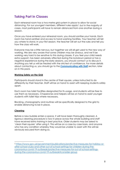# <span id="page-7-0"></span>**Taking Part in Classes**

Each rehearsal room has a two-metre grid system in place to allow for social distancing. For our youngest members, different rules apply<sup>[2](#page-7-3)</sup>, but in the majority of cases, most participants will have to remain distanced from one another during a session.

Once you have entered your rehearsal room, you should sanitise your hands. Each room has hand sanitiser and access to hand washing facilities. Your teacher will tell you where to stand. In your first session, the teacher will set out the rules and tell you how the class will work.

Everyone may be a little nervous, but together we will all get used to the new way of working. We are very aware that some children may be anxious, and we'll be working very hard to be sensitive to this during classes. If you feel your child needs extra support, has been adversely affected during the lockdown period or has a negative experience during the early sessions, you should contact us to discuss it. Anything you tell us will be treated with the strictest of confidence. For more details about contacting us, you should go to the **[Communicating with Staff](#page-10-1)** section, later on in this pack.

#### <span id="page-7-1"></span>**Working Safely on the Grid**

Participants should stand in the centre of their square, unless instructed to do differently by their teacher. Staff will be on hand to assist with keeping students safely apart.

Each room has toilet facilities designated for its usage, and students will be free to use them as necessary. Chaperones and helpers will be on hand to assist younger students with toilet trips where necessary.

Blocking, choreography and routines will be specifically designed to the grid to enable distancing to be in place.

#### <span id="page-7-2"></span>**Cleaning**

1

Before a new bubble enters a space, it will have been thoroughly cleaned. A rigorous cleaning procedure is now in place across the whole building and staff have received extra training in best practice. Older students may be asked to 'clean their square' after using it. This will be on a case by case basis, and anyone who has any condition whereby they would be unable to assist with this will be obviously excused from doing so.

<span id="page-7-3"></span><sup>2</sup> [https://www.gov.uk/government/publications/protective-measures-for-holiday-or](https://www.gov.uk/government/publications/protective-measures-for-holiday-or-after-school-clubs-and-other-out-of-school-settings-for-children-during-the-coronavirus-covid-19-outbreak/protective-measures-for-out-of-school-settings-during-the-coronavirus-covid-19-outbreak#consider-group)[after-school-clubs-and-other-out-of-school-settings-for-children-during-the](https://www.gov.uk/government/publications/protective-measures-for-holiday-or-after-school-clubs-and-other-out-of-school-settings-for-children-during-the-coronavirus-covid-19-outbreak/protective-measures-for-out-of-school-settings-during-the-coronavirus-covid-19-outbreak#consider-group)[coronavirus-covid-19-outbreak/protective-measures-for-out-of-school-settings](https://www.gov.uk/government/publications/protective-measures-for-holiday-or-after-school-clubs-and-other-out-of-school-settings-for-children-during-the-coronavirus-covid-19-outbreak/protective-measures-for-out-of-school-settings-during-the-coronavirus-covid-19-outbreak#consider-group)[during-the-coronavirus-covid-19-outbreak#consider-group](https://www.gov.uk/government/publications/protective-measures-for-holiday-or-after-school-clubs-and-other-out-of-school-settings-for-children-during-the-coronavirus-covid-19-outbreak/protective-measures-for-out-of-school-settings-during-the-coronavirus-covid-19-outbreak#consider-group)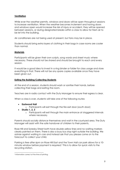#### <span id="page-8-0"></span>**Ventilation**

While ever the weather permits, windows and doors will be open throughout sessions to increase ventilation. When the weather becomes inclement and having doors and windows open would increase the risk of injury or accident, they will be opened between sessions, or during designated breaks within a class to allow for fresh air to be let into the building.

Air conditioners are not being used at present, but fans may be in place.

Students should bring extra layers of clothing in their bags in case rooms are cooler than normal.

#### <span id="page-8-1"></span>**Materials**

Participants will be given their own scripts, song words and sheet music where necessary. These should not be shared and should be brought to each and every session.

It would be a good idea to invest in a ring binder or folder for class usage and store everything in that. There will not be any spare copies available once they have been given out.

#### <span id="page-8-2"></span>**Exiting the Building/Collecting Students**

At the end of a session, students should wash or sanitise their hands, before collecting their bags and exiting the room.

Teachers are in radio contact with the Duty Manager to ensure their egress is clear.

When a class is over, students will take one of the following routes:

#### • **Eastwood Hall**

- o Participants will exit through the fire exit door (south door)
- **Studio 1, 2, 3**
	- o Participants will exit through the main entrance at staggered intervals where necessary.

Parents should socially distance themselves and wait in the courtyard area. The Duty Manager will assist with the safe handover of children to their parents.

Rose Hill and Soresby Street both have double yellow lines and no waiting markers clearly painted on them. There is also a busy bus stop right outside the building. We advise against waiting in cars and instead ask that you please come on to the forecourt to collect your child.

Parking is free after 6pm on Rose Hill East and the Town Hall car park allows for a 10 minute window before payment is required.[3](#page-8-3) This is to allow for quick visits to the recycling station.

<span id="page-8-3"></span><sup>&</sup>lt;u>.</u> <sup>3</sup> Information correct at the time of printing.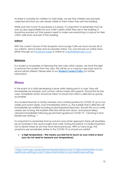As there is nowhere for children to wait inside, we ask that children are promptly collected and that you are clearly visible to them when they exit the building.

While ever the Covid-19 procedure is in place, it is important to remember that we only accept responsibility for your child's safety whilst they are in the building. It should be pointed out that parents need to make sure everything is in place for their child's safe entry and exit of the building.

#### <span id="page-9-0"></span>**Uniform**

With the current closure of the reception and Lounge Café we have moved all of our uniform, dance shoes and accessories online. You can browse our online shop either through our [Facebook page](http://facebook.com/chesterfieldstudios) or online at chesterfieldstudios.co.uk

#### <span id="page-9-1"></span>**Behaviour**

If a student is incapable of following the new rules within classes, we have the right to remove that student from the class. This will be on a case-by-case basis and no refund will be offered. Please refer to our **[Student Conduct](https://7e48caa7-d29b-44b1-af0b-d6b21376748f.filesusr.com/ugd/ed68d3_f5e2cfb4a68149638602079ee02edb8a.pdf) Policy** for further information.

### <span id="page-9-2"></span>**Illness**

-

In the event of a child developing a fever whilst taking part in a class, they will immediately be isolated, and contact will be made with parents. Should this be the case, immediate action should be taken to ensure the child is collected as quickly as possible.

Any student/teacher or family member who is tested positive for COVID-19 up to two weeks post event dates, must immediately inform us. The bubble that is affected will immediately be notified including students/parents/teachers. Should this occur while classes are running, the bubble affected will be shut down, and spaces deepcleaned immediately following government guidance *COVID 19 – Cleaning in Non-Healthcare Settings. [4](#page-9-3)*

It is important to remember that as autumn and winter approach there will doubtless be an increase in the usual coughs and colds. During this period, it is really important not to dismiss these as we may have done previously. With so many bugs, the symptoms are remarkably similar to the COVID-19 so should you exhibit

• **a high temperature – this means you feel hot to touch on your chest or back (you do not need to measure your temperature)**

<span id="page-9-3"></span><sup>4</sup> [https://www.gov.uk/government/publications/covid-19-decontamination-in-non](https://www.gov.uk/government/publications/covid-19-decontamination-in-non-healthcare-settings/covid-19-decontamination-in-non-healthcare-settings)[healthcare-settings/covid-19-decontamination-in-non-healthcare-settings](https://www.gov.uk/government/publications/covid-19-decontamination-in-non-healthcare-settings/covid-19-decontamination-in-non-healthcare-settings)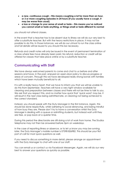- **a new, continuous cough this means coughing a lot for more than an hour, or 3 or more coughing episodes in 24 hours (if you usually have a cough, it may be worse than usual)**
- **a loss or change to your sense of smell or taste this means you've noticed you cannot smell or taste anything, or things smell or taste different to normal**

you should not attend classes.

In the event that a teacher has to be absent due to illness we will do our very best to offer a substitute teacher. But with the heavy restrictions in place, it may not be possible to do this. In those instances, we will do our utmost to run the class online and full details will be issued to you should this be necessary.

Refunds and credit notes will only be issued in the event of permanent termination of a class where fees have already been paid. No refund, reduction or credit will be offered for classes that take place online or by a substitute teacher.

## <span id="page-10-1"></span><span id="page-10-0"></span>**Communicating with Staff**

We have always welcomed parents to come and chat to us before and after sessions and have, in the past, enjoyed an open-door policy to discuss progress or areas of concern. Through this we have developed really strong bonds with families which have been mutually beneficial to all.

It is with a really heavy heart, that we have to inform you that we will be unable to do this from September. Teachers will have a very tight window available for cleaning and preparation between classes and there will not be time to talk to you. We ask that you respect this, and no matter how quick that 'quick word' may be, it will result in the next class being admitted late, or cleaning not being achieved to the correct standard.

Instead, you should speak with the Duty Manager in the first instance. Again, this should be done respectfully, whilst adhering to social distancing, and being mindful of how busy they are. Please don't try to have a conversation whilst the Duty Manager is dealing with a queue or admitting students, but instead wait until they are free, or pop back at a quieter time.

During this period the directorate are still doing a lot of work from home. The Studios telephone may not then be answered before 3pm on weekdays.

In the case of reporting illness or absence, or to let us know you may be running later, the Duty Manager's mobile number is 07598 826982. This should be your first port of call for most quick questions as well.

If you need to discuss something in more detail, please arrange an appointment with the Duty Manager to chat with one of our staff.

You can email us or contact us via Facebook Messenger. Again, we will do our very best to answer your questions as quickly as possible.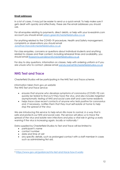#### <span id="page-11-0"></span>**Email addresses**

In a lot of cases, it may just be easier to send us a quick email. To help make sure it gets dealt with quickly and effectively, these are the email addresses you should use.

For all enquiries relating to payments, direct debits, or help with your loveadmin.com account you should email [adam.green@chesterfieldstudios.co.uk](mailto:adam.green@chesterfieldstudios.co.uk) 

For anything related to the COVID-19 procedure, Health and Safety management, complaints or observations you should email [Jonathan.francis@chesterfieldstudios.co.uk](mailto:Jonathan.francis@chesterfieldstudios.co.uk) 

For class enquiries, concerns or questions about individual students and anything related to classes and their content, including rehearsal times and availability, you should email [Roseanna.sanderson@chesterfieldstudios.co.uk](mailto:Roseanna.sanderson@chesterfieldstudios.co.uk) 

For day to day questions, information on classes, help with ordering uniform or if you are unsure who to contact, please email [wendy.barnett@chesterfieldstudios.co.uk](mailto:wendy.barnett@chesterfieldstudios.co.uk) 

## <span id="page-11-1"></span>**NHS Test and Trace**

Chesterfield Studios will be participating in the NHS Test and Trace scheme.

*Information taken from gov.uk website The NHS Test and Trace service:*

- *ensures that anyone who develops symptoms of coronavirus (COVID-19) can quickly be tested to find out if they have the virus, and also includes targeted asymptomatic testing of NHS and social care staff and care home residents*
- *helps trace close recent contacts of anyone who tests positive for coronavirus and, if necessary, notifies them that they must self-isolate at home to help stop the spread of the virus*

*We are introducing this service to help return life more to normal, in a way that is safe and protects our NHS and social care. The service will allow us to trace the spread of the virus and isolate new infections and play a vital role in giving us early warning if the virus is increasing again, locally or nationally.[5](#page-11-2)*

Data supplied by Chesterfield Studios to Test and Trace will be limited to

- participant's name
- contact number

<u>.</u>

- date and time of visit
- any specific details, such as prolonged contact with a staff member in cases such as administering first aid.

<span id="page-11-2"></span><sup>5</sup> <https://www.gov.uk/guidance/nhs-test-and-trace-how-it-works>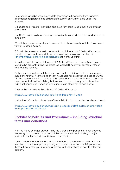No other data will be shared. Any data forwarded will be taken from standard attendance registers with no obligation to submit any further data under the scheme.

QR codes and website links will be displayed for visitors to add their details via an online form.

Our GDPR policy has been updated accordingly to include NHS Test and Trace as a third party.

We will share, upon request, such data as listed above to assist with tracing contact with an infected person.

If, for whatever reason, you do not want to participate in NHS Test and Trace and you do not consent to your data being shared in this way, you must email [Jonathan.francis@chesterfieldstudios.co.uk](mailto:Jonathan.francis@chesterfieldstudios.co.uk?subject=Withold%20Consent%20for%20Track%20and%20Trace) to notify us of this.

Should you wish to not participate in NHS Test and Trace and a confirmed case is found to be present within the Studios, we would still notify you privately without involving the scheme.

Furthermore, should you withhold your consent to participate in the scheme, you should still notify us if you or one of your household has a confirmed case of COVID-19. We reserve the right to contact NHS Test and Trace and notify them a case has been present within the building, but we would not supply any data about the individual concerned if specific instructions are in place not to participate.

You can find out information about NHS Test and Trace at:

<https://www.gov.uk/guidance/nhs-test-and-trace-how-it-works>

and further information about how Chesterfield Studios may collect and use data at:

[https://www.gov.uk/guidance/maintaining-records-of-staff-customers-and-visitors](https://www.gov.uk/guidance/maintaining-records-of-staff-customers-and-visitors-to-support-nhs-test-and-trace)[to-support-nhs-test-and-trace](https://www.gov.uk/guidance/maintaining-records-of-staff-customers-and-visitors-to-support-nhs-test-and-trace)

## <span id="page-12-0"></span>**Updates to Policies and Procedures – including standard terms and conditions**

With the many changes brought in by the Coronavirus pandemic, it has become necessary to update many of our policies and procedures, including a major update to our terms and conditions of membership.

You will need to agree to these to be a member of Chesterfield Studios. For new members, this will form part of your sign-up procedure, while for existing members, these will be sent to you in a separate email with instructions on how to offer your consent.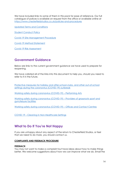We have included links to some of them in this pack for ease of reference. Our full catalogue of polices is available on request from the office or available online at <https://www.chesterfieldstudios.co.uk/policies-and-procedures>

[Updated Terms and Conditions](https://7e48caa7-d29b-44b1-af0b-d6b21376748f.filesusr.com/ugd/ed68d3_5057a5d819cb43b4886a064645109ac1.pdf)

[Student Conduct](https://7e48caa7-d29b-44b1-af0b-d6b21376748f.filesusr.com/ugd/ed68d3_f5e2cfb4a68149638602079ee02edb8a.pdf) Policy

[Covid-19 Site Management Procedure](https://7e48caa7-d29b-44b1-af0b-d6b21376748f.filesusr.com/ugd/ed68d3_8ace714ce8c149389ff7cef85c4a2b5c.pdf)

[Covid-19 Method Statement](https://7e48caa7-d29b-44b1-af0b-d6b21376748f.filesusr.com/ugd/ed68d3_84caf1e54cde43dc85cc6236d76caaaf.pdf) 

[Covid-19 Risk Assessment](https://7e48caa7-d29b-44b1-af0b-d6b21376748f.filesusr.com/ugd/ed68d3_817b4616e114469a80cef9c01eaafae4.pdf) 

## <span id="page-13-0"></span>**Government Guidance**

Below are links to the current government guidance we have used to prepare for reopening.

We have collated all of the links into this document to help you, should you need to refer to it in the future.

[Protective measures for holiday and after-school clubs, and other out-of-school](https://www.gov.uk/government/publications/protective-measures-for-holiday-or-after-school-clubs-and-other-out-of-school-settings-for-children-during-the-coronavirus-covid-19-outbreak/protective-measures-for-out-of-school-settings-during-the-coronavirus-covid-19-outbreak)  [settings during the coronavirus \(COVID-19\) outbreak](https://www.gov.uk/government/publications/protective-measures-for-holiday-or-after-school-clubs-and-other-out-of-school-settings-for-children-during-the-coronavirus-covid-19-outbreak/protective-measures-for-out-of-school-settings-during-the-coronavirus-covid-19-outbreak)

[Working safely during coronavirus \(COVID-19\) – Performing Arts](https://www.gov.uk/guidance/working-safely-during-coronavirus-covid-19/performing-arts)

[Working safely during coronavirus \(COVID-19\) – Providers of grassroots sport and](https://www.gov.uk/guidance/working-safely-during-coronavirus-covid-19/providers-of-grassroots-sport-and-gym-leisure-facilities)  [gym/leisure facilities](https://www.gov.uk/guidance/working-safely-during-coronavirus-covid-19/providers-of-grassroots-sport-and-gym-leisure-facilities)

[Working safely during coronavirus \(COVID-19\) – Offices and Contact Centres](https://www.gov.uk/guidance/working-safely-during-coronavirus-covid-19/offices-and-contact-centres)

[COVID 19 – Cleaning in Non-Healthcare Settings](https://www.gov.uk/government/publications/covid-19-decontamination-in-non-healthcare-settings/covid-19-decontamination-in-non-healthcare-settings)

## <span id="page-13-1"></span>**What to Do If You're Not Happy**

If you are unhappy about any aspect of the return to Chesterfield Studios, or feel that we need to do more, you should contact us.

#### <span id="page-13-2"></span>**COMPLAINTS AND FEEDBACK PROCEDURE**

#### **FEEDBACK**

You may not want to make a complaint but have ideas about how to make things better. We welcome suggestions about how we can improve what we do. Email the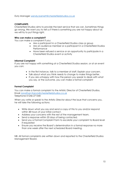#### Duty Manager [wendy.barnett@chesterfieldstudios.co.uk](mailto:wendy.barnett@chesterfieldstudios.co.uk)

#### **COMPLAINTS**

Chesterfield Studios aims to provide the best service that we can. Sometimes things go wrong. We want you to tell us if there is something you are not happy about as we will try to put things right.

#### **Who can make a complaint?**

You can make a complaint if you:

- Are a participant in a Chesterfield Studios class or group
- Are an audience member or a participant in a Chesterfield Studios Performance
- Have been refused a service or an opportunity to participate in a Chesterfield Studios event or activity

#### **Informal Complaint**

If you are not happy with something at a Chesterfield Studios session, or at an event you can:

- In the first instance, talk to a member of staff. Explain your concern.
- Talk about what you think needs to change to make things better.
- If you are unhappy with how the person you speak to deals with what you say, or the outcome, you can make a formal complaint

#### **Formal Complaint**

You can make a formal complaint to the Artistic Director of Chesterfield Studios. Email [Jonathan.francis@chesterfieldstudios.co.uk](mailto:Jonathan.francis@chesterfieldstudios.co.uk) Telephone 01246 271540

When you write or speak to the Artistic Director about the issue that concerns you, he will take the following actions:

- Write down what you say and send a copy of this to you and/or respond within 48 hours of your initial contact.
- Address your concerns with the rest of the management team.
- Send a response within 20 days of being contacted.
- Send you a Formal Complaint Form to escalate your complaint to Board level if requested
- Ensure you receive the Board's determination in a formal response no more than one week after the next scheduled Board meeting.

NB: All formal complaints are written down and reported to the Chesterfield Studios Management Board.